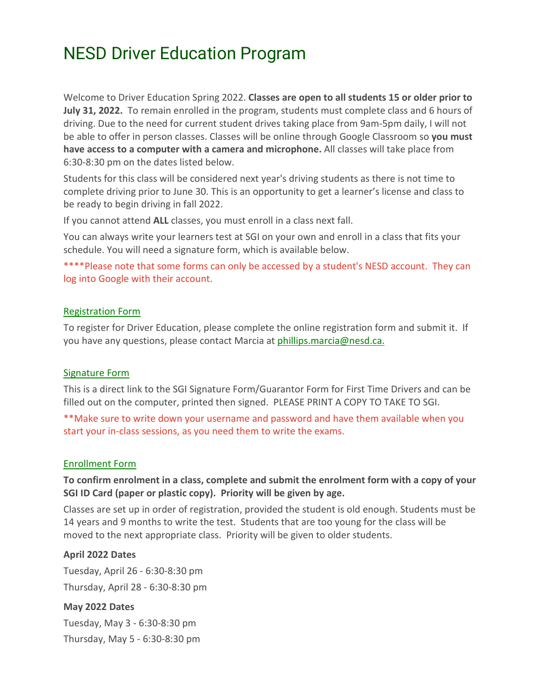# NESD Driver Education Program

Welcome to Driver Education Spring 2022. **Classes are open to all students 15 or older prior to July 31, 2022.** To remain enrolled in the program, students must complete class and 6 hours of driving. Due to the need for current student drives taking place from 9am-5pm daily, I will not be able to offer in person classes. Classes will be online through Google Classroom so **you must have access to a computer with a camera and microphone.** All classes will take place from 6:30-8:30 pm on the dates listed below.

Students for this class will be considered next year's driving students as there is not time to complete driving prior to June 30. This is an opportunity to get a learner's license and class to be ready to begin driving in fall 2022.

If you cannot attend **ALL** classes, you must enroll in a class next fall.

You can always write your learners test at SGI on your own and enroll in a class that fits your schedule. You will need a signature form, which is available below.

\*\*\*\*Please note that some forms can only be accessed by a student's NESD account. They can log into Google with their account.

## [Registration Form](https://docs.google.com/forms/d/e/1FAIpQLSfzLwEb27vOStSSn8WwMfBS8ITL48HXs3lYXYAdR1seMs-V8g/viewform)

To register for Driver Education, please complete the online registration form and submit it. If you have any questions, please contact Marcia at [phillips.marcia@nesd.ca.](mailto:phillips.marcia@nesd.ca.) 

## [Signature Form](https://www.sgi.sk.ca/documents/625510/305911/signature_guarantor_form.pdf/e425333a-a90e-47ee-a5a3-805bf97d13cf)

This is a direct link to the SGI Signature Form/Guarantor Form for First Time Drivers and can be filled out on the computer, printed then signed. PLEASE PRINT A COPY TO TAKE TO SGI.

\*\*Make sure to write down your username and password and have them available when you start your in-class sessions, as you need them to write the exams.

## [Enrollment Form](https://docs.google.com/forms/d/e/1FAIpQLSfgnaiYpwZKp1qECmWIaEMLUDXjh6u8-A7ol3ajM9AdvN5oRw/viewform)

## **To confirm enrolment in a class, complete and submit the enrolment form with a copy of your SGI ID Card (paper or plastic copy). Priority will be given by age.**

Classes are set up in order of registration, provided the student is old enough. Students must be 14 years and 9 months to write the test. Students that are too young for the class will be moved to the next appropriate class. Priority will be given to older students.

## **April 2022 Dates**

Tuesday, April 26 - 6:30-8:30 pm Thursday, April 28 - 6:30-8:30 pm

## **May 2022 Dates**

Tuesday, May 3 - 6:30-8:30 pm Thursday, May 5 - 6:30-8:30 pm